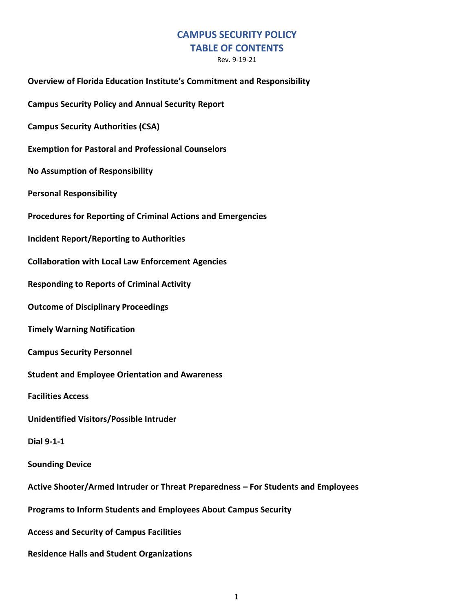# **CAMPUS SECURITY POLICY**

## **TABLE OF CONTENTS**

Rev. 9-19-21

**Overview of Florida Education Institute's Commitment and Responsibility Campus Security Policy and Annual Security Report Campus Security Authorities (CSA) Exemption for Pastoral and Professional Counselors No Assumption of Responsibility Personal Responsibility Procedures for Reporting of Criminal Actions and Emergencies Incident Report/Reporting to Authorities Collaboration with Local Law Enforcement Agencies Responding to Reports of Criminal Activity Outcome of Disciplinary Proceedings Timely Warning Notification Campus Security Personnel Student and Employee Orientation and Awareness Facilities Access Unidentified Visitors/Possible Intruder Dial 9-1-1 Sounding Device Active Shooter/Armed Intruder or Threat Preparedness – For Students and Employees Programs to Inform Students and Employees About Campus Security Access and Security of Campus Facilities Residence Halls and Student Organizations**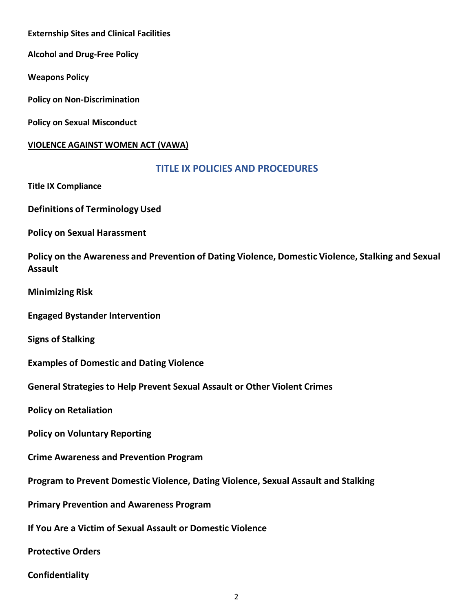**Externship Sites and Clinical Facilities**

**Alcohol and Drug-Free Policy**

**Weapons Policy** 

**Policy on Non-Discrimination**

**Policy on Sexual Misconduct**

#### **VIOLENCE AGAINST WOMEN ACT (VAWA)**

#### **TITLE IX POLICIES AND PROCEDURES**

**Title IX Compliance**

**Definitions of Terminology Used**

**Policy on Sexual Harassment**

**Policy on the Awareness and Prevention of Dating Violence, Domestic Violence, Stalking and Sexual Assault**

**Minimizing Risk**

**Engaged Bystander Intervention**

**Signs of Stalking**

**Examples of Domestic and Dating Violence**

**General Strategies to Help Prevent Sexual Assault or Other Violent Crimes**

**Policy on Retaliation**

**Policy on Voluntary Reporting**

**Crime Awareness and Prevention Program**

**Program to Prevent Domestic Violence, Dating Violence, Sexual Assault and Stalking**

**Primary Prevention and Awareness Program**

**If You Are a Victim of Sexual Assault or Domestic Violence**

**Protective Orders**

**Confidentiality**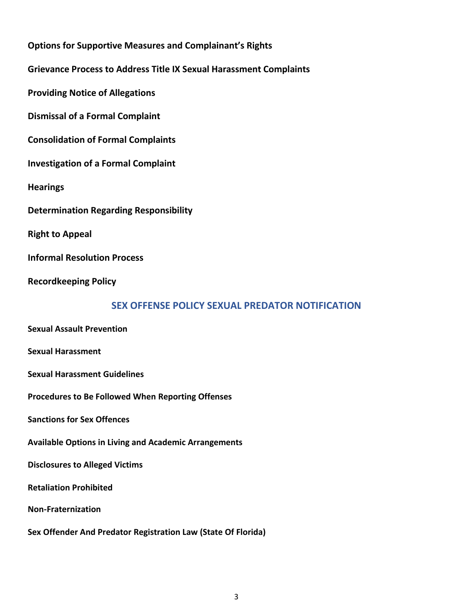**Options for Supportive Measures and Complainant's Rights Grievance Process to Address Title IX Sexual Harassment Complaints Providing Notice of Allegations Dismissal of a Formal Complaint Consolidation of Formal Complaints Investigation of a Formal Complaint Hearings Determination Regarding Responsibility Right to Appeal Informal Resolution Process Recordkeeping Policy SEX OFFENSE POLICY SEXUAL PREDATOR NOTIFICATION Sexual Assault Prevention Sexual Harassment Sexual Harassment Guidelines Procedures to Be Followed When Reporting Offenses Sanctions for Sex Offences Available Options in Living and Academic Arrangements Disclosures to Alleged Victims Retaliation Prohibited Non-Fraternization**

**Sex Offender And Predator Registration Law (State Of Florida)**